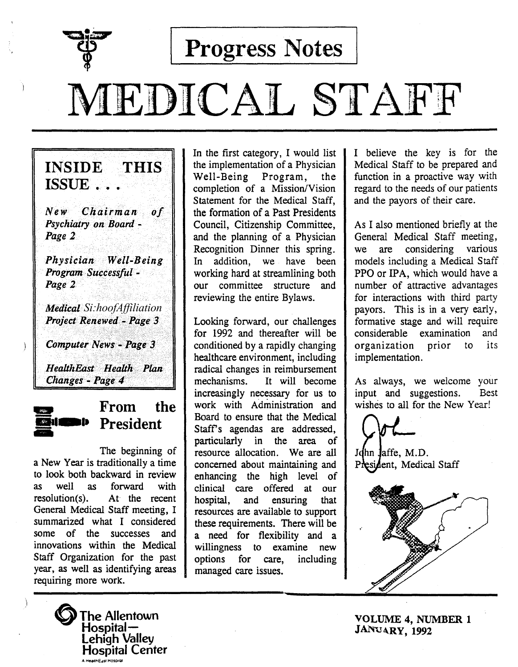

Progress Notes

# MEDICAL STAFF

INSIDE THIS ISSUE. *New Chairman*   $\boldsymbol{\theta}$ f *Psychiatry on Board* - *Page* 2 *Physician> Well-Being Program· Successful-Page2* 

*Medical· Si:hoofAffiliation*  **Project Renewed - Page 3** 

Computer News - Page 3

HealthEast Health Plan<br>Changes - Page 4



 $\frac{1}{\sqrt{2}}$  From the **President** 

The beginning of a New Year is traditionally a time to look both backward in review as well as forward with resolution(s). At the recent General Medical Staff meeting, I summarized what I considered some of the successes and innovations within the Medical Staff Organization for the past year, as well as identifying areas requiring more work.



In the first category, I would list the implementation of a Physician Well-Being Program, the completion of a Mission/Vision Statement for the Medical Staff, the formation of a Past Presidents Council, Citizenship Committee, and the planning of a Physician Recognition Dinner this spring. In addition, we have been working hard at streamlining both our committee structure and reviewing the entire Bylaws.

Looking forward, our challenges for 1992 and thereafter will be conditioned by a rapidly changing healthcare environment, including radical changes in reimbursement mechanisms. It will become increasingly necessary for us to work with Administration and Board to ensure that the Medical Staff's agendas are addressed, particularly in the area of resource allocation. We are all concerned about maintaining and enhancing the high level of clinical care offered at our hospital, and ensuring that resources are available to support these requirements. There will be a need for flexibility and a willingness to examine new options for care, including managed care issues.

I believe the key is for the Medical Staff to be prepared and function in a proactive way with regard to the needs of our patients and the payors of their care.

As I also mentioned briefly at the General Medical Staff meeting, we are considering various models including a Medical Staff PPO or IPA, which would have a number of attractive advantages for interactions with third party payors. This is in a very early, formative stage and will require considerable examination and organization prior to its implementation.

As always, we welcome your input and suggestions. Best wishes to all for the New Year!

John Jaffe, M.D. President, Medical Staff

VOLUME 4, NUMBER 1 JANUARY, 1992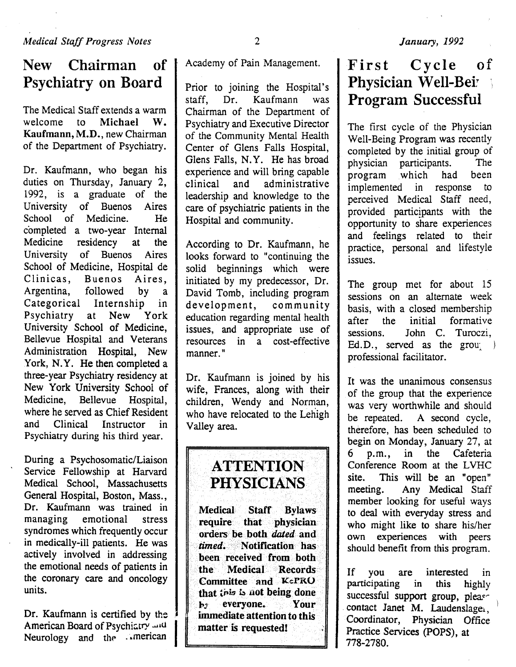# New Chairman of Psychiatry on Board

The Medical Staff extends a warm welcome to Michael W. Kaufmann, M.D., new Chairman of the Department of Psychiatry.

Dr. Kaufmann, who began his duties on Thursday, January 2, 1992, is a graduate of the University of Buenos Aires School of Medicine. He completed a two-year Internal Medicine residency at the University of Buenos Aires School of Medicine, Hospital de Clinicas, Buenos Aires, Argentina, followed by a Categorical Internship in Psychiatry at New York University School of Medicine, Bellevue Hospital and Veterans Administration Hospital, New York, N.Y. He then completed a three-year Psychiatry residency at New York University School of Medicine, Bellevue Hospital, where he served as Chief Resident and Clinical Instructor in Psychiatry during his third year.

During a Psychosomatic/Liaison Service Fellowship at Harvard Medical School, Massachusetts General Hospital, Boston, Mass., Dr. Kaufmann was trained in managing emotional stress syndromes which frequently occur in medically-ill patients. He was actively involved in addressing the emotional needs of patients in the coronary care and oncology units.

Dr. Kaufmann is certified by the  $\left\{\n\begin{matrix}\n\end{matrix}\n\right\}$ <br>
Neurology and the *American* Neurology and the ... merican

Academy of Pain Management.

Prior to joining the Hospital's staff, Dr. Kaufmann was Chairman of the Department of Psychiatry and Executive Director of the Community Mental Health Center of Glens Falls Hospital, Glens Falls, N.Y. He has broad experience and will bring capable clinical and administrative leadership and knowledge to the care of psychiatric patients in the Hospital and community.

According to Dr. Kaufmann, he looks forward to "continuing the solid beginnings which were initiated by my predecessor, Dr. David Tomb, including program development, community education regarding mental health issues, and appropriate use of resources in a cost-effective manner."

Dr. Kaufmann is joined by his wife, Frances, along with their children, Wendy and Norman, who have relocated to the Lehigh Valley area.

# **ATTENTION** PHYSICIANS

Medical Staff Bylaws require that physician orders> be both *dated* and *timed.* Notification has been received from both the Medical Records Committee and KcPRO that this is not being done <sup>1</sup>hy everyone. Your immediate attention to this matter is requested!

# First Cycle of Physician Well-Bei<sup>7</sup> Program Successful

The first cycle of the Physician Well-Being Program was recently completed by the initial group of physician participants. The program .which had been implemented in response to perceived Medical Staff need, provided participants with the opportunity to share experiences and feelings related to their practice, personal and lifestyle issues.

The group met for about 15 sessions on an alternate week basis, with a closed membership after the initial formative sessions. John C. Turoczi, Ed.D., served as the grou $\langle \rangle$ professional facilitator.

It was the unanimous consensus of the group that the experience was very worthwhile and should be repeated. A second cycle, therefore, has been scheduled to begin on Monday, January 27, at 6 p.m., in the Cafeteria Conference Room at the LVHC site. This will be an "open" meeting. Any Medical Staff member looking for useful ways to deal with everyday stress and who might like to share his/her own experiences with peers should benefit from this program.

If you are interested in<br>participating in this highly participating successful support group, please contact Janet M. Laudenslager, Coordinator, Physician Office Practice Services (POPS), at 778-2780.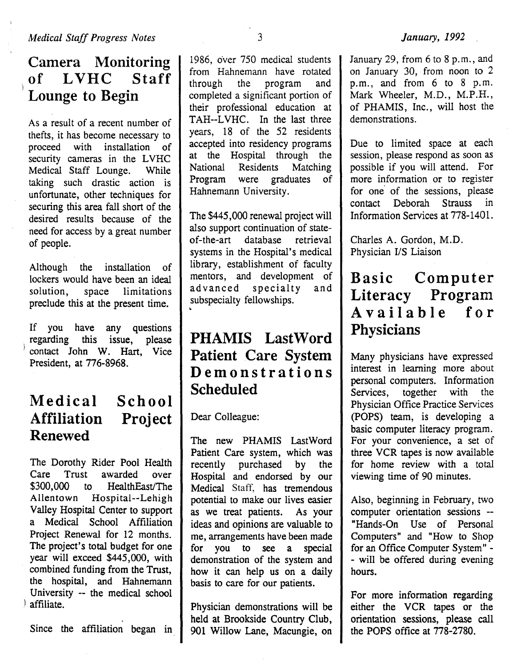#### **Camera Monitoring**  of LVHC 1 **Lounge to Begin**

As a result of a recent number of thefts, it has become necessary to proceed with installation of security cameras in the LVHC Medical Staff Lounge. While taking such drastic action is unfortunate, other techniques for securing this area fall short of the desired results because of the need for access by a great number of people.

Although the installation of lockers would have been an ideal<br>solution. space limitations space limitations preclude this at the present time.

If you have any questions , regarding this issue, please contact John W. Hart, Vice President, at 776-8968.

#### **Medical Affiliation Project Renewed School**

The Dorothy Rider Pool Health Care Trust awarded over \$300,000 to HealthEast/The Allentown Hospital--Lehigh Valley Hospital Center to support a Medical School Affiliation Project Renewal for 12 months. The project's total budget for one year will exceed \$445,000, with combined funding from the Trust, the hospital, and Hahnemann University -- the medical school affiliate.

Since the affiliation began in

1986, over 750 medical students from Hahnemann have rotated<br>through the program and the program completed a significant portion of their professional education at TAH--LVHC. In the last three years, 18 of the 52 residents accepted into residency programs<br>at the Hospital through the at the Hospital through<br>National Residents Match National Residents Matching<br>Program were graduates of were graduates of Hahnemann University.

The \$445,000 renewal project will also support continuation of stateof-the-art database retrieval systems in the Hospital's medical library, establishment of faculty mentors, and development of<br>advanced specialty and advanced specialty and subspecialty fellowships. •

# **PHAMIS LastWord Patient Care System Demonstrations Scheduled**

Dear Colleague:

The new PHAMIS LastWord Patient Care system, which was recently purchased by the Hospital and endorsed by our Medical Staff, has tremendous potential to make our lives easier as we treat patients. As your ideas and opinions are valuable to me, arrangements have been made for you to see a special demonstration of the system and how it can help us on a daily basis to care for our patients.

Physician demonstrations will be held at Brookside Country Club, 901 Willow Lane, Macungie, on January 29, from 6 to 8 p.m., and on January 30, from noon to 2 p.m., and from 6 to 8 p.m. Mark Wheeler, M.D., M.P.H., of PHAMIS, Inc., will host the demonstrations.

Due to limited space at each session, please respond as soon as possible if you will attend. For more information or to register for one of the sessions, please<br>contact Deborah Strauss in contact Deborah Strauss Information Services at 778-1401.

Charles A. Gordon, M.D. Physician I/S Liaison

# **Basic Computer Literacy Program Available for Physicians**

Many physicians have expressed interest in learning more about personal computers. Information<br>Services, together with the together with the Physician Office Practice Services (POPS) team, is developing a basic computer literacy program. For your convenience, a set of three VCR tapes is now available for home review with a total viewing time of 90 minutes.

Also, beginning in February, two computer orientation sessions -- "Hands-On Use of Personal Computers" and "How to Shop for an Office Computer System" - - will be offered during evening hours.

For more information regarding either the VCR tapes or the orientation sessions, please call the POPS office at 778-2780.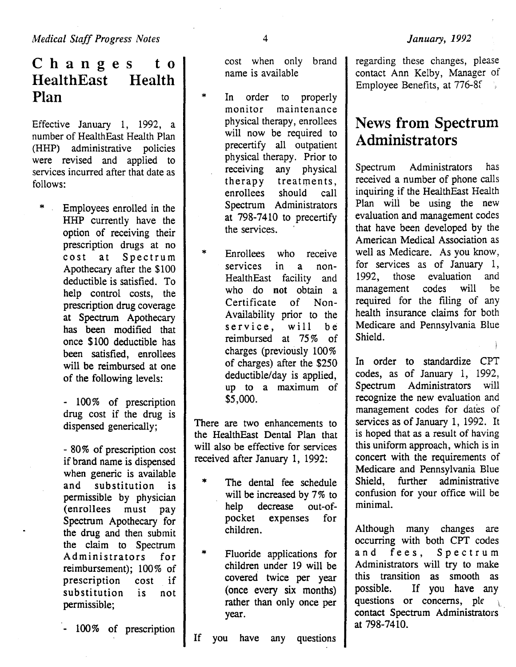$C$  h a n g e s t o **HealthEast** Plan Health

Effective January 1, 1992, a number of HealthEast Health Plan (HHP) administrative policies were revised and applied to services incurred after that date as follows:

Employees enrolled in the HHP currently have the option of receiving their prescription drugs at no cost at Spectrum Apothecary after the \$100 deductible is satisfied. To help control costs, the prescription drug coverage at Spectrum Apothecary has been modified that once \$100 deductible has been satisfied, enrollees will be reimbursed at one of the following levels:

> - 100% of prescription drug cost if the drug is dispensed generically;

> - 80% of prescription cost if brand name is dispensed when generic is available and substitution is permissible by physician (enrollees must pay Spectrum Apothecary for the drug and then submit the claim to Spectrum Administrators for reimbursement); 100% of prescription cost if substitution is not permissible;

- 100% of prescription

cost when only brand name is available

- In order to properly<br>monitor maintenance maintenance physical therapy, enrollees will now be required to precertify all outpatient physical therapy. Prior to<br>receiving any physical any physical therapy treatments,<br>enrollees should call enrollees should call Spectrum Administrators at 798-7410 to precertify the services.
- \* Enrollees who receive services in a non-HealthEast facility and who do not obtain a Certificate of Non-Availability prior to the service, will be reimbursed at 75% of charges (previously 100% of charges) after the \$250 deductible/day is applied, up to a maximum of \$5,000.

There are two enhancements to the HealthEast Dental Plan that will also be effective for services received after January 1, 1992:

- \* The dental fee schedule will be increased by 7% to help decrease out-ofpocket expenses for children.
- \* Fluoride applications for children under 19 will be covered twice per year (once every six months) rather than only once per year.
- If you have any questions

regarding these changes, please contact Ann Kelby, Manager of Employee Benefits, at 776-Sf

# News from Spectrum Administrators

Spectrum Administrators has received a number of phone calls inquiring if the HealthEast Health Plan wili be using the new evaluation and management codes that have been developed by the American Medical Association as well as Medicare. As you know, for services as of January 1,<br>1992, those evaluation and 1992, those evaluation management codes will be required for the filing of any health insurance claims for both Medicare and Pennsylvania Blue Shield.

In order to standardize CPT codes, as of January 1, 1992, Spectrum Administrators will recognize the new evaluation and management codes for dates of services as of January 1, 1992. It is hoped that as a result of having this uniform approach, which is in concert with the requirements of Medicare and Pennsylvania Blue<br>Shield. further administrative Shield, further administrative confusion for your office will be minimal.

Although many changes are occurring with both CPT codes and fees, Spectrum Administrators will try to make this transition as smooth as possible. If you have any questions or concerns, ple contact Spectrum Administrators at 798-7410.

\*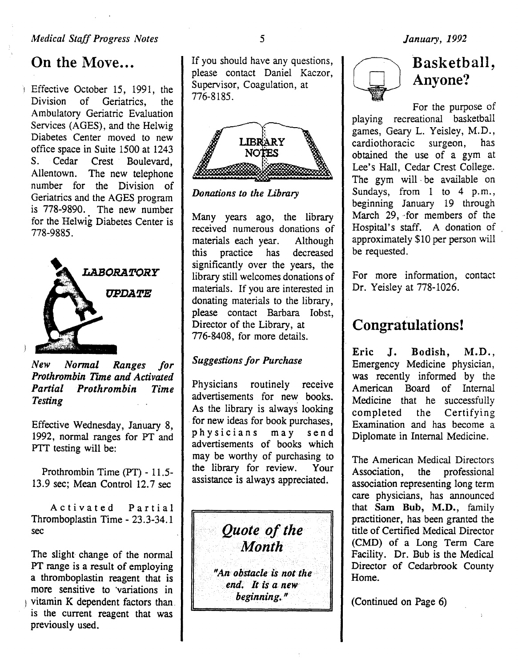#### *Medical Staff Progress Notes*

# On the Move...

Effective October 15, 1991, the Division of Geriatrics, the Ambulatory Geriatric Evaluation Services (AGES), and the Helwig Diabetes Center moved to new office space in Suite 1500 at 1243 S. Cedar Crest Boulevard, Allentown. The new telephone number for the Division of Geriatrics and the AGES program is 778-9890. The new number for the Helwig Diabetes Center is 778-9885.



*New Normal Ranges for Prothrombin Time and Activated Partial Prothrombin Time Testing* 

Effective Wednesday, January 8, 1992, normal ranges for PT and PTT testing will be:

Prothrombin Time (PT) - 11.5- 13.9 sec; Mean Control 12.7 sec

Activated Partial Thromboplastin Time- 23.3-34.1 sec

The slight change of the normal PT range is a result of employing a thromboplastin reagent that is more sensitive to 'variations in  $\parallel$  vitamin K dependent factors than. is the current. reagent that was previously used.

If you should have any questions, please contact Daniel Kaczor, Supervisor, Coagulation, at 776-8185.



*Donations to the Library* 

Many years ago, the library received numerous donations of materials each year. Although this practice has decreased significantly over the years, the library still welcomes donations of materials. If you are interested in donating materials to the library, please contact Barbara Iobst, Director of the Library, at 776-8408, for more details.

#### *Suggestions for Purchase*

Physicians routinely receive advertisements for new books. As the library is always looking for new ideas for book purchases, physicians may send advertisements of books which may be worthy of purchasing to the library for review. Your assistance is always appreciated.

> "An obstacle is not the *end. It is a new*

> > *beginning .. "*

*Quote of the Month* 

# Basketball, Anyone?

For the purpose of playing recreational basketball games, Geary L. Yeisley, M.D., cardiothoracic surgeon, has obtained the use of a gym at Lee's Hall, Cedar Crest College. The gym will be available on Sundays, from 1 to 4 p.m., beginning January 19 through March 29, for members of the Hospital's staff. A donation of . approximately \$10 per person will be requested.

For more information, contact Dr. Yeisley at 778-1026.

# Congratulations!

Eric J. Bodish, M.D., Emergency Medicine physician, was recently informed by the American Board of Internal Medicine that he successfully completed the Certifying Examination and has become a Diplomate in Internal Medicine.

The American Medical Directors Association, the professional association representing long term care physicians, has announced that Sam Bub, M.D., family practitioner, has been granted the title of Certified Medical Director (CMD) of a Long Term Care Facility. Dr. Bub is the Medical Director of Cedarbrook County Home.

(Continued on Page 6)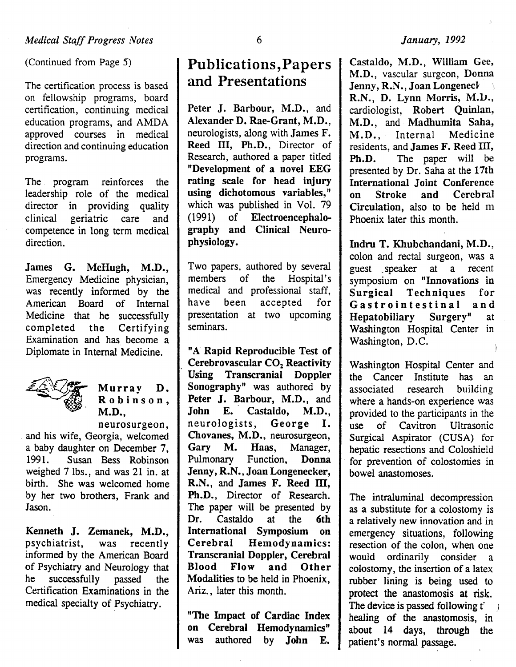(Continued from Page 5)

The certification process is based on fellowship programs, board certification, continuing medical education programs, and AMDA approved courses in medical direction and continuing education programs.

The program reinforces the leadership role of the medical director in providing quality clinical geriatric care and competence in long term medical direction.

James G. McHugh, M.D., Emergency Medicine physician, was recently informed by the American Board of Internal Medicine that he successfully completed the Certifying Examination and has become a Diplomate in Internal Medicine.



# Murray D.<br>Robinson, M.D., neurosurgeon,

and his wife, Georgia, welcomed a baby daughter on December 7,<br>1991. Susan Bess Robinson Susan Bess Robinson weighed 7 lbs., and was 21 in. at birth. She was welcomed home by her two brothers, Frank and Jason.

Kenneth J. Zemanek, M.D., psychiatrist, was recently informed by the American Board of Psychiatry and Neurology that he successfully passed the Certification Examinations in the medical specialty of Psychiatry.

# Publications,Papers and Presentations

Peter J. Barbour, M.D., and Alexander D. Rae-Grant, M.D., neurologists, along with James F. Reed III, Ph.D., Director of Research, authored a paper titled "Development of a novel EEG rating scale for head injury using dichotomous variables," which was published in Vol. 79 ( 1991) of Electroencephalography and Clinical Neurophysiology.

Two papers, authored by several members of the Hospital's medical and professional staff, have been accepted for presentation at two upcoming seminars.

"A Rapid Reproducible Test of Cerebrovascular CO<sub>2</sub> Reactivity<br>Using Transcranial Doppler Transcranial Doppler Sonography<sup>"</sup> was authored by Peter J. Barbour, M.D., and John E. Castaldo, M.D., neurologists, George I. Chovanes, M.D., neurosurgeon, Gary M. Haas, Manager, Pulmonary Function, Donna Jenny, R.N., Joan Longenecker, R.N., and James F. Reed III, Ph.D., Director of Research. The paper will be presented by Dr. Castaldo at the 6th International Symposium on Cerebral Hemodynamics: Transcranial Doppler, Cerebral Blood Flow and Other Modalities to be held in Phoenix, Ariz., later this month.

"The Impact of Cardiac Index on Cerebral Hemodynamics" was authored by John E.

#### *January, 1992*

Castaldo, M.D., William Gee, M.D., vascular surgeon, Donna Jenny, R.N., Joan Longened R.N., D. Lynn Morris, M.D., cardiologist, Robert Quinlan, M.D., and Madhumita Saha, M.D., Internal Medicine residents, and **James F. Reed III**,<br>**Ph.D.** The paper will be The paper will be presented by Dr. Saha at the 17th International Joint Conference on Stroke and Cerebral Circulation, also to be held m Phoenix later this month.

Indru T. Khubchandani, M.D., colon and rectal surgeon, was a guest \_speaker at a recent symposium on "Innovations in Surgical Techniques for Gastrointestinal and<br>Hepatobiliary Surgery" at Hepatobiliary Surgery" at Washington Hospital Center in Washington, D.C.

Washington Hospital Center and the Cancer Institute has an associated research building where a hands-on experience was provided to the participants in the use of Cavitron Ultrasonic Surgical Aspirator (CUSA) for hepatic resections and Coloshield for prevention of colostomies in bowel anastomoses.

The intraluminal decompression as a substitute for a colostomy is a relatively new innovation and in emergency situations, following resection of the colon, when one would ordinarily consider a colostomy, the insertion of a latex rubber lining is being used to protect the anastomosis at risk. The device is passed following t'  $\rightarrow$ healing of the anastomosis, in about 14 days, through the patient's normal passage.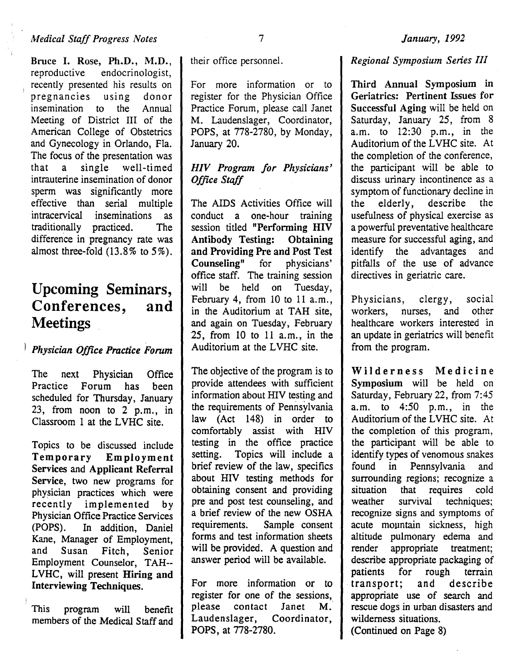Bruce I. Rose, Ph.D., M.D., reproductive endocrinologist, endocrinologist, recently presented his results on<br>pregnancies using donor pregnancies using donor insemination to the Annual Meeting of District III of the American College of Obstetrics and Gynecology in Orlando, Fla. The focus of the presentation was that a single well-timed intrauterine insemination of donor sperm was significantly more effective than serial multiple intracervical inseminations as traditionally practiced. The difference in pregnancy rate was almost three-fold (13.8% to 5%).

# Upcoming Seminars, Conferences, and **Meetings**

#### l *Physician Office Practice Forum*

The next Physician Office Practice Forum has been scheduled for Thursday, January 23, from noon to 2 p.m., in Classroom 1 at the LVHC site.

Topics to be discussed include Temporary Employment Services and Applicant Referral Service, two new programs for physician practices which were recently implemented by Physician Office Practice Services (POPS). In addition, Daniel Kane, Manager of Employment, and Susan Fitch, Senior Employment Counselor, TAH-- LVHC, will present Hiring and Interviewing Techniques.

This program will benefit members of the Medical Staff and

their office personnel.

For more information or to register for the Physician Office Practice Forum, please call Janet M. Laudenslager, Coordinator, POPS, at 778-2780, by Monday, January 20.

#### *HIV Program for Physicians' Office Staff*

The AIDS Activities Office will conduct a one-hour training session titled "Performing HIV Antibody Testing: Obtaining and Providing Pre and Post Test Counseling" for physicians' office staff. The training session will be held on Tuesday, February 4, from 10 to 11 a.m., in the Auditorium at TAH site, and again on Tuesday, February 25, from 10 to 11 a.m., in the Auditorium at the LVHC site.

The objective of the program is to provide attendees with sufficient information about HIV testing and the requirements of Pennsylvania law (Act 148) in order to comfortably assist with HIV testing in the office practice setting. Topics will include a brief review of the law, specifics about HIV testing methods for obtaining consent and providing pre and post test counseling, and a brief review of the new OSHA requirements. Sample consent forms and test information sheets will be provided. A question and answer period will be available.

For more information or to register for one of the sessions, please contact Janet M. Laudenslager, Coordinator, POPS, at 778-2780.

#### *Regional Symposium Series* Ill

Third Annual Symposium in Geriatrics: Pertinent Issues for Successful Aging will be held on Saturday, January 25, from 8 a.m. to 12:30 p.m., in the Auditorium of the LVHC site. At the completion of the conference, the participant will be able to discuss urinary incontinence as a symptom of functionary decline in<br>the elderly, describe the the elderly, describe the usefulness of physical exercise as a powerful preventative healthcare measure for successful aging, and<br>identify the advantages and identify the advantages pitfalls of the use of advance directives in geriatric care.

Physicians, clergy, social<br>workers, nurses, and other workers, healthcare workers interested in an update in geriatrics will benefit from the program.

Wilderness Medicine Symposium will be held on Saturday, February 22, from 7:45 a.m. to 4:50 p.m., in the Auditorium of the LVHC site. At the completion of this program, the participant will be able to identify types of venomous snakes found in Pennsylvania and surrounding regions; recognize a situation that requires cold weather survival techniques; recognize signs and symptoms of acute mountain sickness, high altitude pulmonary edema and render appropriate treatment; describe appropriate packaging of patients for rough terrain . transport; and describe appropriate use of search and rescue dogs in urban disasters and wilderness situations.

(Continued on Page 8)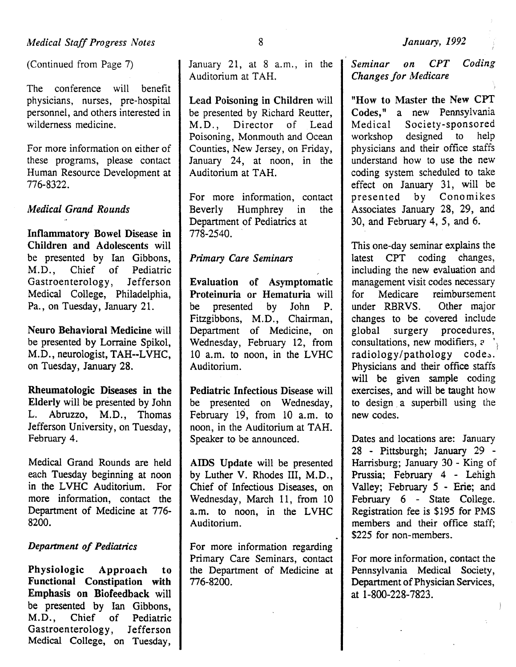(Continued from Page 7)

The conference will benefit physicians, nurses, pre-hospital personnel, and others interested in wilderness medicine.

For more information on either of these programs, please contact Human Resource Development at 776-8322.

#### *Medical Grand Rounds*

Inflammatory Bowel Disease in Children and Adolescents will be presented by Ian Gibbons, M.D., Chief of Pediatric Gastroenterology, Jefferson Medical College, Philadelphia, Pa., on Tuesday, January 21.

Neuro Behavioral Medicine will be presented by Lorraine Spikol, M.D., neurologist, TAH--LVHC, on Tuesday, January 28.

Rheumatologic Diseases in the Elderly will be presented by John L. Abruzzo, M.D., Thomas Jefferson University, on Tuesday, February 4.

Medical Grand Rounds are held each Tuesday beginning at noon in the LVHC Auditorium. For more information, contact the Department of Medicine at 776- 8200.

#### *Department of Pediatrics*

Physiologic Approach to Functional Constipation with Emphasis on Biofeedback will be presented by Ian Gibbons, M.D., Chief of Pediatric Gastroenterology, Jefferson Medical College, on Tuesday,

January 21, at  $8$  a.m., in the Auditorium at TAH.

Lead Poisoning in Children will be presented by Richard Reutter, M.D., Director of Lead Poisoning, Monmouth and Ocean Counties, New Jersey, on Friday, January 24, at noon, in the Auditorium at TAH.

For more information, contact Beverly Humphrey in the Department of Pediatrics at 778-2540.

#### *Primary Care Seminars*

Evaluation of Asymptomatic Proteinuria or Hematuria will be presented by John P. Fitzgibbons, M.D., Chairman, Department of Medicine, on Wednesday, February 12, from 10 a.m. to noon, in the LVHC Auditorium.

Pediatric Infectious Disease will be presented on Wednesday, February 19, from 10 a.m. to noon, in the Auditorium at TAH. Speaker to be announced.

AIDS Update will be presented by Luther V. Rhodes III, M.D., Chief of Infectious Diseases, on Wednesday, March 11, from 10 a.m. to noon, in the LVHC Auditorium.

For more information regarding Primary Care Seminars, contact the Department of Medicine at 776-8200.

*Seminar on CPT Coding Changes for Medicare* 

"How to Master the New CPT Codes," a new Pennsylvania Medical Society-sponsored workshop designed to help physicians and their office staffs understand how to use the new coding system scheduled to take effect on January 31, will be presented by Conomikes Associates January 28, 29, and 30, and February 4, *5,* and 6.

This one-day seminar explains the latest CPT coding changes, including the new evaluation and management visit codes necessary for Medicare reimbursement under RBRVS. Other major changes to be covered include global surgery procedures, consultations, new modifiers, *c* 'l radiology/pathology codes. Physicians and their office staffs will be given sample coding exercises, and will be taught how to design a superbill using the new codes.

Dates and locations are: January 28 - Pittsburgh; January 29 - Harrisburg; January 30- King of Prussia; February 4 - Lehigh Valley; February 5 - Erie; and February 6 - State College. Registration fee is \$195 for PMS members and their office staff; \$225 for non-members.

For more information, contact the Pennsylvania Medical Society, Department of Physician Services, at 1-800-228-7823.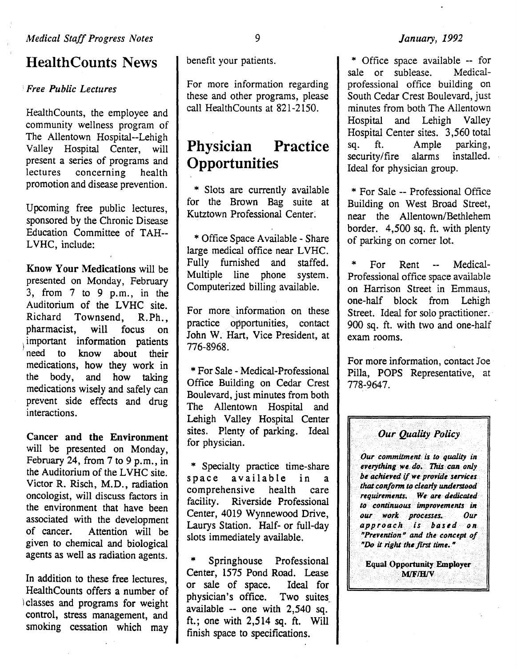## HealthCounts News

#### : *Free Public Lectures*

HealthCounts, the employee and community wellness program of The Allentown Hospital--Lehigh Valley Hospital Center, will present a series of programs and<br>lectures concerning health  $concerning$ promotion and disease prevention.

Upcoming free public lectures, sponsored by the Chronic Disease Education Committee of TAH-- LVHC, include:

Know Your Medications will be presented on Monday, February 3, from 7 to 9 p.m., in the Auditorium of the LVHC site. Richard Townsend, R.Ph., pharmacist, will focus on important information patients need to know about their medications, how they work in the body, and how taking medications wisely and safely can prevent side effects and drug interactions.

Cancer and the Environment will be presented on Monday, February 24, from 7 to 9 p.m., in the Auditorium of the LVHC site. Victor R. Risch, M.D., radiation oncologist, will discuss factors in the environment that have been associated with the development of cancer. Attention will be given to chemical and biological agents as well as radiation agents.

In addition to these free lectures, HealthCounts offers a number of l classes and programs for weight control, stress management, and smoking cessation which may

benefit your patients.

For more information regarding these and other programs, please call HealthCounts at 821-2150.

# Physician Practice **Opportunities**

\* Slots are currently available for the Brown Bag suite at Kutztown Professional Center:

\*Office Space Available- Share large medical office near LVHC. Fully furnished and staffed. Multiple line phone system. Computerized billing available.

For more information on these practice opportunities, contact John W. Hart, Vice President, at 776-8968.

\*For Sale- Medical-Professional Office Building on Cedar Crest Boulevard, just minutes from both The Allentown Hospital and Lehigh Valley Hospital Center sites. Plenty of parking. Ideal for physician.

\* Specialty practice time-share space available in a comprehensive health care facility. Riverside Professional Center, 4019 Wynnewood Drive, Laurys Station. Half- or full-day slots immediately available.

Springhouse Professional Center, 1575 Pond Road. Lease or sale of space. Ideal for physician's office. Two suites available -- one with 2,540 sq. ft.; one with 2,514 sq. ft. Will finish space to specifications.

#### *January, 1992*

\* Office space available -- for<br>ale or sublease. Medicalsale or sublease. professional office building on South Cedar Crest Boulevard, just minutes from both The Allentown Hospital and Lehigh Valley Hospital Center sites. 3,560 total<br>sq. ft. Ample parking. ft. Ample parking,<br>ty/fire alarms installed. security/fire Ideal for physician group.

\* For Sale -- Professional Office Building on West Broad Street, near the Allentown/Bethlehem border. 4,500 sq. ft. with plenty of parking on comer lot.

\* For Rent -- Medical-Professional office space available on Harrison Street in Emmaus, one-half block from Lehigh Street. Ideal for solo practitioner. 900 sq. ft. with two and one-half exam rooms.

For more information, contact Joe Pilla, POPS Representative, at 778-9647.

### *Our Quality Policy*

*Our commitment is to quality in everything we* do~ *11iis can only be achieved* if *we provide services tliat confonn to clearly understood requirements• We are dedicated to· continuous improvements in our* . *work processes. Our approach is bastd on*  "Prevention'~ *and the concept. of*  "Do it right the first time."

**Equal Opportunity Employer M/F/H/V**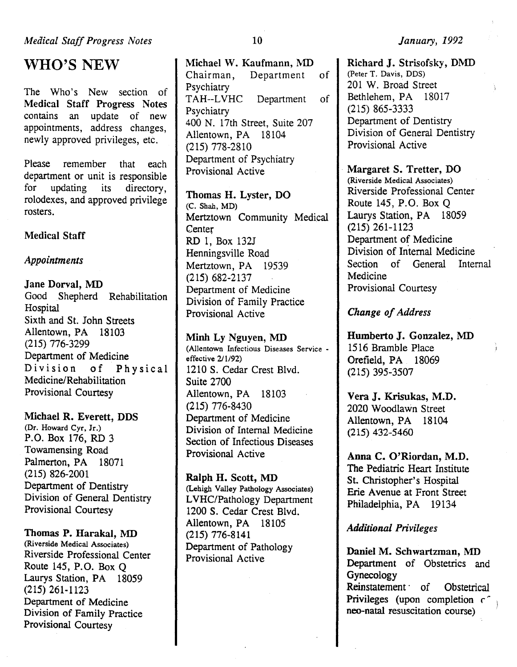WHO'S NEW

The Who's New section of Medical Staff Progress Notes contains an update of new appointments, address changes, newly approved privileges, etc.

Please remember that each department or unit is responsible for updating its directory, rolodexes, and approved privilege rosters.

#### Medical Staff

#### *Appointments*

Jane Dorval, MD Good Shepherd Rehabilitation **Hospital** Sixth and St. John Streets Allentown, PA 18103 (215) 776-3299 Department of Medicine Division of Physical Medicine/Rehabilitation Provisional Courtesy

#### Michael R. Everett, DDS

(Dr. Howard Cyr, Jr.) P.O. Box 176, RD 3 Towamensing Road Palmerton, PA 18071 (215) 826-2001 Department of Dentistry Division of General Dentistry Provisional Courtesy

#### Thomas P. Harakal, MD

(Riverside Medical Associates) Riverside Professional Center Route 145, P.O. Box Q Laurys Station, PA 18059 (215) 261-1123 Department of Medicine Division of Family Practice Provisional Courtesy

Michael W. Kaufmann, MD Chairman, Department of Psychiatry TAH--LVHC Department of **Psychiatry** 400 N. 17th Street, Suite 207 Allentown, PA 18104 (215) 778-2810 Department of Psychiatry Provisional Active

Thomas H. Lyster, DO (C. Shah, MD) Mertztown Community Medical **Center** RD 1, Box 132J Henningsville Road Mertztown, PA 19539 (215) 682-2137 Department of Medicine Division of Family Practice Provisional Active

Minh Ly Nguyen, MD (Allentown Infectious Diseases Service effective 2/1/92) 1210 S. Cedar Crest Blvd. Suite 2700 Allentown, PA 18103 (215) 776-8430 Department of Medicine Division of Internal Medicine Section of Infectious Diseases Provisional Active

Ralph H. Scott, MD (Lehigh Valley Pathology Associates) LVHC/Pathology Department 1200 S. Cedar Crest Blvd. Allentown, PA 18105 (215) 776-8141 Department of Pathology Provisional Active

Richard J. Strisofsky, DMD (Peter T. Davis, DDS) 201 W. Broad Street Bethlehem, PA 18017 (215) 865-3333 Department of Dentistry Division of General Dentistry Provisional Active

Margaret S. Tretter, DO (Riverside Medical Associates) Riverside Professional Center Route 145, P.O. Box Q Laurys Station, PA 18059 (215) 261-1123 Department of Medicine Division of Internal Medicine Section of General Internal Medicine Provisional Courtesy

#### *Change of Address*

Humberto J. Gonzalez, MD 1516 Bramble Place Orefield, PA 18069 (215) 395-3507

Vera J. Krisukas, M.D. 2020 Woodlawn Street Allentown, PA 18104 (215) 432-5460

Anna C. O'Riordan, M.D. The Pediatric Heart Institute St. Christopher's Hospital Erie Avenue at Front Street Philadelphia, PA 19134

*Additional Privileges* 

Daniel M. Schwartzman, MD Department of Obstetrics and Gynecology Reinstatement of Obstetrical Privileges (upon completion  $\epsilon$ neo-natal resuscitation course)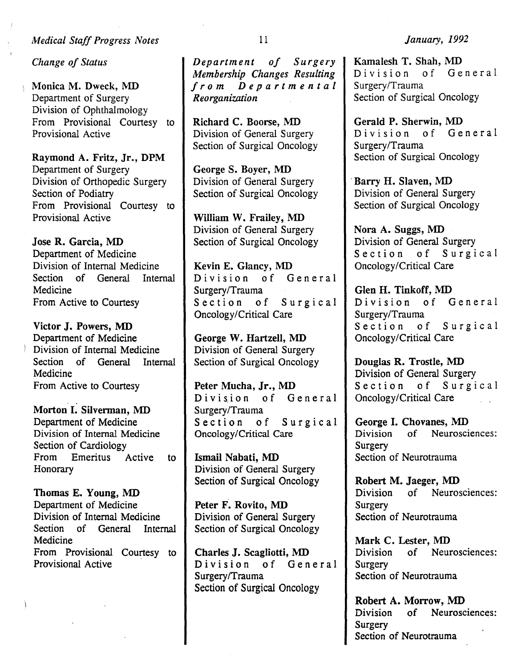#### *Medical Staff Progress Notes*

*Change of Status* 

Monica M. Dweck, MD Department of Surgery Division of Ophthalmology From Provisional Courtesy to Provisional Active

Raymond A. Fritz, Jr., DPM Department of Surgery Division of Orthopedic Surgery Section of Podiatry From Provisional Courtesy to Provisional Active

Jose R. Garcia, MD Department of Medicine Division of Internal Medicine Section of General Internal Medicine From Active to Courtesy

Victor J. Powers, MD Department of Medicine Division of Internal Medicine Section of General Internal Medicine From Active to Courtesy

Morton I. Silverman, MD Department of Medicine Division of Internal Medicine Section of Cardiology From Emeritus Active to Honorary

Thomas E. Young, MD Department of Medicine Division of Internal Medicine Section of General Internal Medicine From Provisional Courtesy to Provisional Active

*Department of Surgery Membership Changes Resulting from Departmental Reorganization* 

Richard C. Boorse, MD Division of General Surgery Section of Surgical Oncology

George S. Boyer, MD Division of General Surgery Section of Surgical Oncology

William W. Frailey, MD Division of General Surgery Section of Surgical Oncology

Kevin E. Glancy, MD Division of General Surgery/Trauma Section of Surgical Oncology/Critical Care

George W. Hartzell, MD Division of General Surgery Section of Surgical Oncology

Peter Mucha, Jr., MD Division of General Surgery/Trauma<br>Section of Section of Surgical Oncology/Critical Care

Ismail Nabati, MD Division of General Surgery Section of Surgical Oncology

Peter F. Rovito, MD Division of General Surgery Section of Surgical Oncology

Charles J. Scagliotti, MD Division of General Surgery/Trauma Section of Surgical Oncology

*January, 1992* 

Kamalesh T. Shah, MD Division of General Surgery/Trauma Section of Surgical Oncology

Gerald P. Sherwin, MD Division of General Surgery/Trauma Section of Surgical Oncology

Barry H. Slaven, MD Division of General Surgery Section of Surgical Oncology

Nora A. Suggs, MD Division of General Surgery Section of Surgical Oncology/Critical Care

Glen H. Tinkoff, MD Division of General Surgery/Trauma Section of Surgical Oncology/Critical Care

Douglas R. Trostle, MD Division of General Surgery Section of Surgical Oncology/Critical Care

George I. Chovanes, MD Division of Neurosciences: Surgery Section of Neurotrauma

Robert M. Jaeger, MD Division of Neurosciences: **Surgery** Section of Neurotrauma

Mark C. Lester, MD Division of Neurosciences: Surgery Section of Neurotrauma

Robert A. Morrow, MD Division of Neurosciences: Surgery Section of Neurotrauma